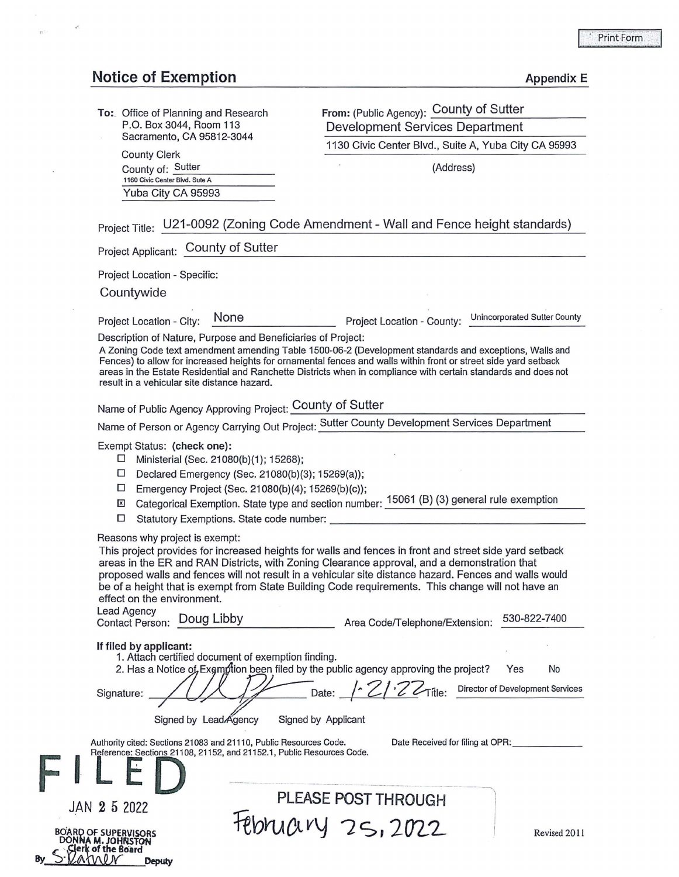## Notice of Exemption

 $\mathbf{u}_{\mathcal{D}}$  . <br> <br>  $\mathbf{v}_{\mathcal{C}}$ 

 $Bv \sim \frac{C}{2}$  of the Board<br>By  $S: W \wedge D \wedge D$ 

Appendix E

| To: Office of Planning and Research<br>P.O. Box 3044, Room 113                                                                                                                                                                                                    | From: (Public Agency): County of Sutter<br><b>Development Services Department</b><br>1130 Civic Center Blvd., Suite A, Yuba City CA 95993                                                                                                                                                                                                                                                                           |  |  |  |
|-------------------------------------------------------------------------------------------------------------------------------------------------------------------------------------------------------------------------------------------------------------------|---------------------------------------------------------------------------------------------------------------------------------------------------------------------------------------------------------------------------------------------------------------------------------------------------------------------------------------------------------------------------------------------------------------------|--|--|--|
| Sacramento, CA 95812-3044                                                                                                                                                                                                                                         |                                                                                                                                                                                                                                                                                                                                                                                                                     |  |  |  |
| <b>County Clerk</b>                                                                                                                                                                                                                                               | (Address)                                                                                                                                                                                                                                                                                                                                                                                                           |  |  |  |
| County of: Sutter<br>1160 Civic Center Blvd. Sute A                                                                                                                                                                                                               |                                                                                                                                                                                                                                                                                                                                                                                                                     |  |  |  |
| Yuba City CA 95993                                                                                                                                                                                                                                                |                                                                                                                                                                                                                                                                                                                                                                                                                     |  |  |  |
| Project Applicant: County of Sutter                                                                                                                                                                                                                               | Project Title: U21-0092 (Zoning Code Amendment - Wall and Fence height standards)                                                                                                                                                                                                                                                                                                                                   |  |  |  |
| Project Location - Specific:                                                                                                                                                                                                                                      |                                                                                                                                                                                                                                                                                                                                                                                                                     |  |  |  |
| Countywide                                                                                                                                                                                                                                                        |                                                                                                                                                                                                                                                                                                                                                                                                                     |  |  |  |
| None                                                                                                                                                                                                                                                              | Project Location - County: Unincorporated Sutter County                                                                                                                                                                                                                                                                                                                                                             |  |  |  |
| Project Location - City:<br>Description of Nature, Purpose and Beneficiaries of Project:                                                                                                                                                                          |                                                                                                                                                                                                                                                                                                                                                                                                                     |  |  |  |
| result in a vehicular site distance hazard.                                                                                                                                                                                                                       | A Zoning Code text amendment amending Table 1500-06-2 (Development standards and exceptions, Walls and<br>Fences) to allow for increased heights for ornamental fences and walls within front or street side yard setback<br>areas in the Estate Residential and Ranchette Districts when in compliance with certain standards and does not                                                                         |  |  |  |
| Name of Public Agency Approving Project: County of Sutter                                                                                                                                                                                                         |                                                                                                                                                                                                                                                                                                                                                                                                                     |  |  |  |
|                                                                                                                                                                                                                                                                   | Name of Person or Agency Carrying Out Project: Sutter County Development Services Department                                                                                                                                                                                                                                                                                                                        |  |  |  |
| Exempt Status: (check one):<br>□ Ministerial (Sec. 21080(b)(1); 15268);<br>Declared Emergency (Sec. 21080(b)(3); 15269(a));<br>$\Box$<br>Emergency Project (Sec. 21080(b)(4); 15269(b)(c));<br>⊔<br>$\mathbf{x}$<br>Statutory Exemptions. State code number:<br>□ | Categorical Exemption. State type and section number: 15061 (B) (3) general rule exemption                                                                                                                                                                                                                                                                                                                          |  |  |  |
| Reasons why project is exempt:<br>effect on the environment.<br>Lead Agency                                                                                                                                                                                       | This project provides for increased heights for walls and fences in front and street side yard setback<br>areas in the ER and RAN Districts, with Zoning Clearance approval, and a demonstration that<br>proposed walls and fences will not result in a vehicular site distance hazard. Fences and walls would<br>be of a height that is exempt from State Building Code requirements. This change will not have an |  |  |  |
| Contact Person: Doug Libby                                                                                                                                                                                                                                        | 530-822-7400<br>Area Code/Telephone/Extension:                                                                                                                                                                                                                                                                                                                                                                      |  |  |  |
| If filed by applicant:<br>1. Attach certified document of exemption finding.<br>Signature:<br>Signed by Lead Agency                                                                                                                                               | 2. Has a Notice of Exemption been filed by the public agency approving the project?<br><b>No</b><br>Yes<br>Director of Development Services<br>$Z$ Title:<br>Date:<br>Signed by Applicant                                                                                                                                                                                                                           |  |  |  |
| Authority cited: Sections 21083 and 21110, Public Resources Code.<br>Reference: Sections 21108, 21152, and 21152.1, Public Resources Code.                                                                                                                        | Date Received for filing at OPR:                                                                                                                                                                                                                                                                                                                                                                                    |  |  |  |
| JAN 2 5 2022                                                                                                                                                                                                                                                      | PLEASE POST THROUGH                                                                                                                                                                                                                                                                                                                                                                                                 |  |  |  |
| BOARD OF SUPERVISORS<br>DONNA M. JOHNSTON                                                                                                                                                                                                                         | February 25,2022<br>Revised 2011                                                                                                                                                                                                                                                                                                                                                                                    |  |  |  |